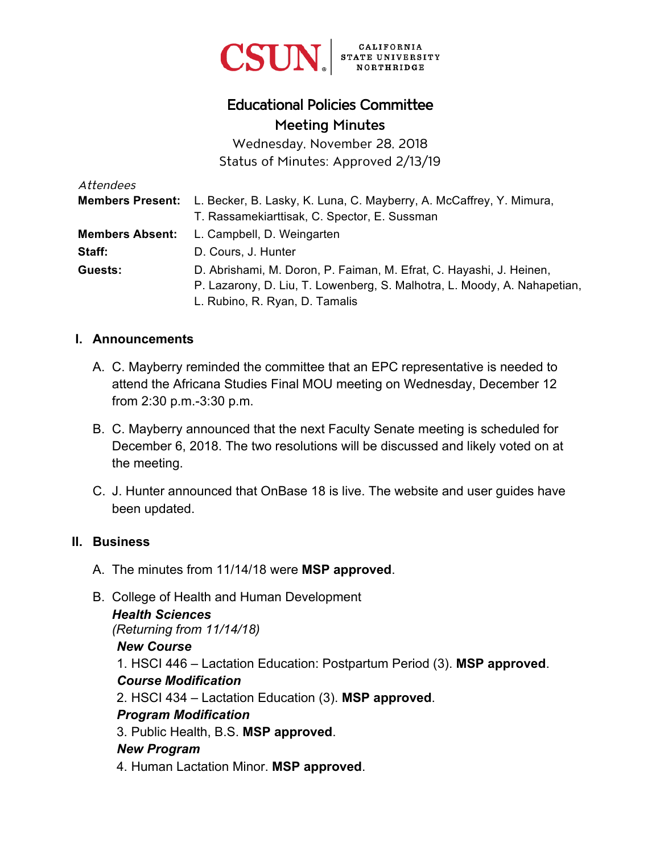

# Educational Policies Committee Meeting Minutes

Wednesday, November 28, 2018 Status of Minutes: Approved 2/13/19

| Attendees              |                                                                                             |
|------------------------|---------------------------------------------------------------------------------------------|
|                        | <b>Members Present:</b> L. Becker, B. Lasky, K. Luna, C. Mayberry, A. McCaffrey, Y. Mimura, |
|                        | T. Rassamekiarttisak, C. Spector, E. Sussman                                                |
| <b>Members Absent:</b> | L. Campbell, D. Weingarten                                                                  |
| Staff:                 | D. Cours, J. Hunter                                                                         |
| Guests:                | D. Abrishami, M. Doron, P. Faiman, M. Efrat, C. Hayashi, J. Heinen,                         |
|                        | P. Lazarony, D. Liu, T. Lowenberg, S. Malhotra, L. Moody, A. Nahapetian,                    |
|                        | L. Rubino, R. Ryan, D. Tamalis                                                              |

#### **I. Announcements**

- A. C. Mayberry reminded the committee that an EPC representative is needed to attend the Africana Studies Final MOU meeting on Wednesday, December 12 from 2:30 p.m.-3:30 p.m.
- B. C. Mayberry announced that the next Faculty Senate meeting is scheduled for December 6, 2018. The two resolutions will be discussed and likely voted on at the meeting.
- C. J. Hunter announced that OnBase 18 is live. The website and user guides have been updated.

#### **II. Business**

- A. The minutes from 11/14/18 were **MSP approved**.
- B. College of Health and Human Development

*Health Sciences* 

*(Returning from 11/14/18)* 

#### *New Course*

1. HSCI 446 – Lactation Education: Postpartum Period (3). **MSP approved**. *Course Modification* 

2. HSCI 434 – Lactation Education (3). **MSP approved**.

#### *Program Modification*

3. Public Health, B.S. **MSP approved**.

#### *New Program*

4. Human Lactation Minor. **MSP approved**.